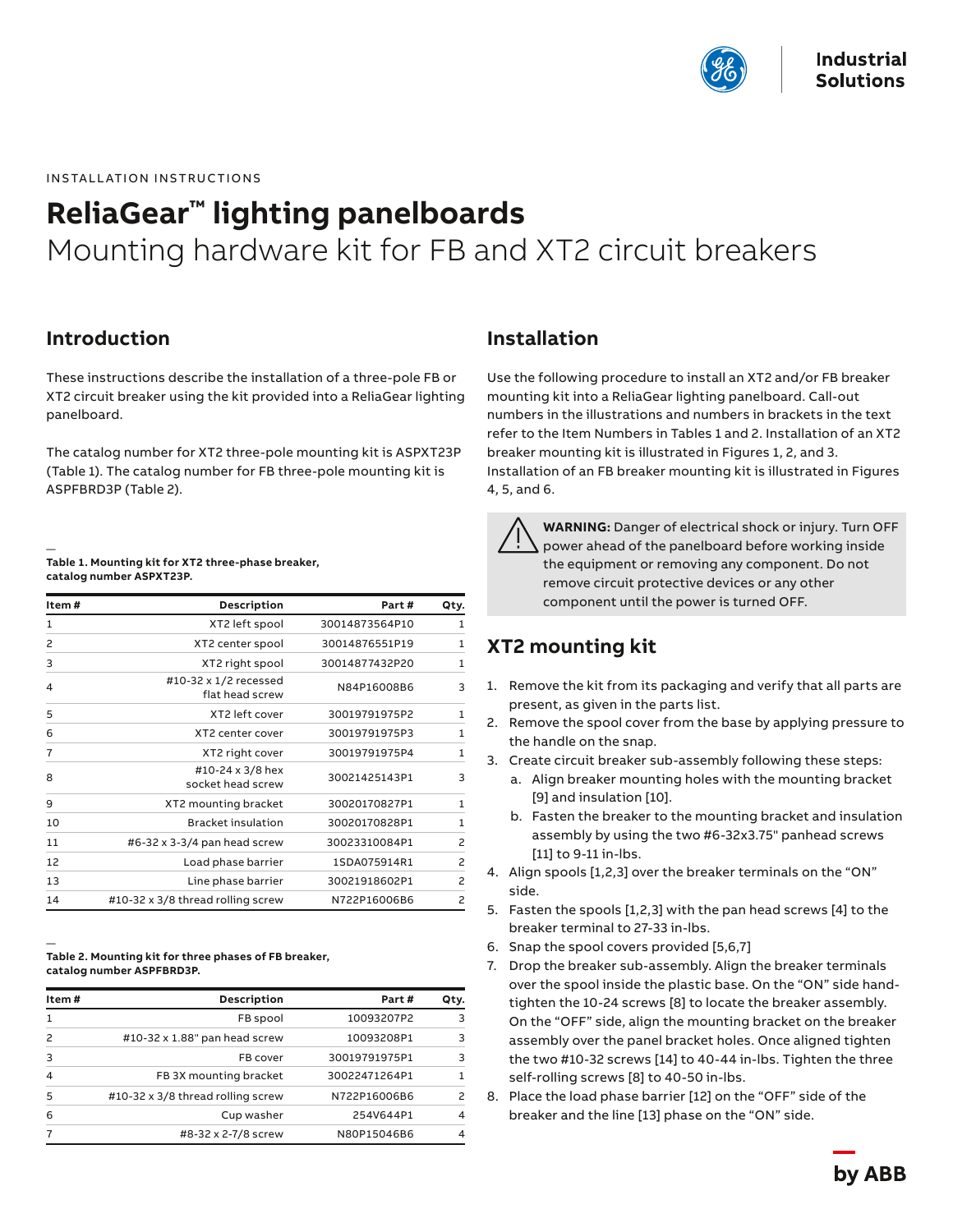

INSTALLATION INSTRUCTIONS

# **ReliaGear™ lighting panelboards**  Mounting hardware kit for FB and XT2 circuit breakers

#### **Introduction**

These instructions describe the installation of a three-pole FB or XT2 circuit breaker using the kit provided into a ReliaGear lighting panelboard.

The catalog number for XT2 three-pole mounting kit is ASPXT23P (Table 1). The catalog number for FB three-pole mounting kit is ASPFBRD3P (Table 2).

#### — **Table 1. Mounting kit for XT2 three-phase breaker, catalog number ASPXT23P.**

| Item# | Description                              | Part#          | Qty.           |
|-------|------------------------------------------|----------------|----------------|
| 1     | XT2 left spool                           | 30014873564P10 | 1              |
| 2     | XT2 center spool                         | 30014876551P19 | $\mathbf{1}$   |
| 3     | XT2 right spool                          | 30014877432P20 | 1              |
| 4     | #10-32 x 1/2 recessed<br>flat head screw | N84P16008B6    | 3              |
| 5     | XT2 left cover                           | 30019791975P2  | $\mathbf{1}$   |
| 6     | XT2 center cover                         | 30019791975P3  | 1              |
| 7     | XT2 right cover                          | 30019791975P4  | $\mathbf{1}$   |
| 8     | #10-24 x 3/8 hex<br>socket head screw    | 30021425143P1  | 3              |
| 9     | XT2 mounting bracket                     | 30020170827P1  | $\mathbf{1}$   |
| 10    | <b>Bracket insulation</b>                | 30020170828P1  | $\mathbf{1}$   |
| 11    | #6-32 x 3-3/4 pan head screw             | 30023310084P1  | 2              |
| 12    | Load phase barrier                       | 1SDA075914R1   | $\overline{c}$ |
| 13    | Line phase barrier                       | 30021918602P1  | $\overline{c}$ |
| 14    | #10-32 x 3/8 thread rolling screw        | N722P16006B6   | $\overline{c}$ |

—

| Table 2. Mounting kit for three phases of FB breaker, |
|-------------------------------------------------------|
| catalog number ASPFBRD3P.                             |

| Item#          | <b>Description</b>                | Part#         | Qty. |
|----------------|-----------------------------------|---------------|------|
| 1              | FB spool                          | 10093207P2    | 3    |
| 2              | #10-32 x 1.88" pan head screw     | 10093208P1    | 3    |
| 3              | FB cover                          | 30019791975P1 | 3    |
| $\overline{4}$ | FB 3X mounting bracket            | 30022471264P1 |      |
| 5              | #10-32 x 3/8 thread rolling screw | N722P16006B6  | 2    |
| 6              | Cup washer                        | 254V644P1     | 4    |
|                | #8-32 x 2-7/8 screw               | N80P15046B6   | 4    |

#### **Installation**

Use the following procedure to install an XT2 and/or FB breaker mounting kit into a ReliaGear lighting panelboard. Call-out numbers in the illustrations and numbers in brackets in the text refer to the Item Numbers in Tables 1 and 2. Installation of an XT2 breaker mounting kit is illustrated in Figures 1, 2, and 3. Installation of an FB breaker mounting kit is illustrated in Figures 4, 5, and 6.

**WARNING:** Danger of electrical shock or injury. Turn OFF power ahead of the panelboard before working inside the equipment or removing any component. Do not remove circuit protective devices or any other component until the power is turned OFF.

## **XT2 mounting kit**

- 1. Remove the kit from its packaging and verify that all parts are present, as given in the parts list.
- 2. Remove the spool cover from the base by applying pressure to the handle on the snap.
- 3. Create circuit breaker sub-assembly following these steps:
	- a. Align breaker mounting holes with the mounting bracket [9] and insulation [10].
	- b. Fasten the breaker to the mounting bracket and insulation assembly by using the two #6-32x3.75" panhead screws [11] to 9-11 in-lbs.
- 4. Align spools [1,2,3] over the breaker terminals on the "ON" side.
- 5. Fasten the spools [1,2,3] with the pan head screws [4] to the breaker terminal to 27-33 in-lbs.
- 6. Snap the spool covers provided [5,6,7]
- 7. Drop the breaker sub-assembly. Align the breaker terminals over the spool inside the plastic base. On the "ON" side handtighten the 10-24 screws [8] to locate the breaker assembly. On the "OFF" side, align the mounting bracket on the breaker assembly over the panel bracket holes. Once aligned tighten the two #10-32 screws [14] to 40-44 in-lbs. Tighten the three self-rolling screws [8] to 40-50 in-lbs.
- 8. Place the load phase barrier [12] on the "OFF" side of the breaker and the line [13] phase on the "ON" side.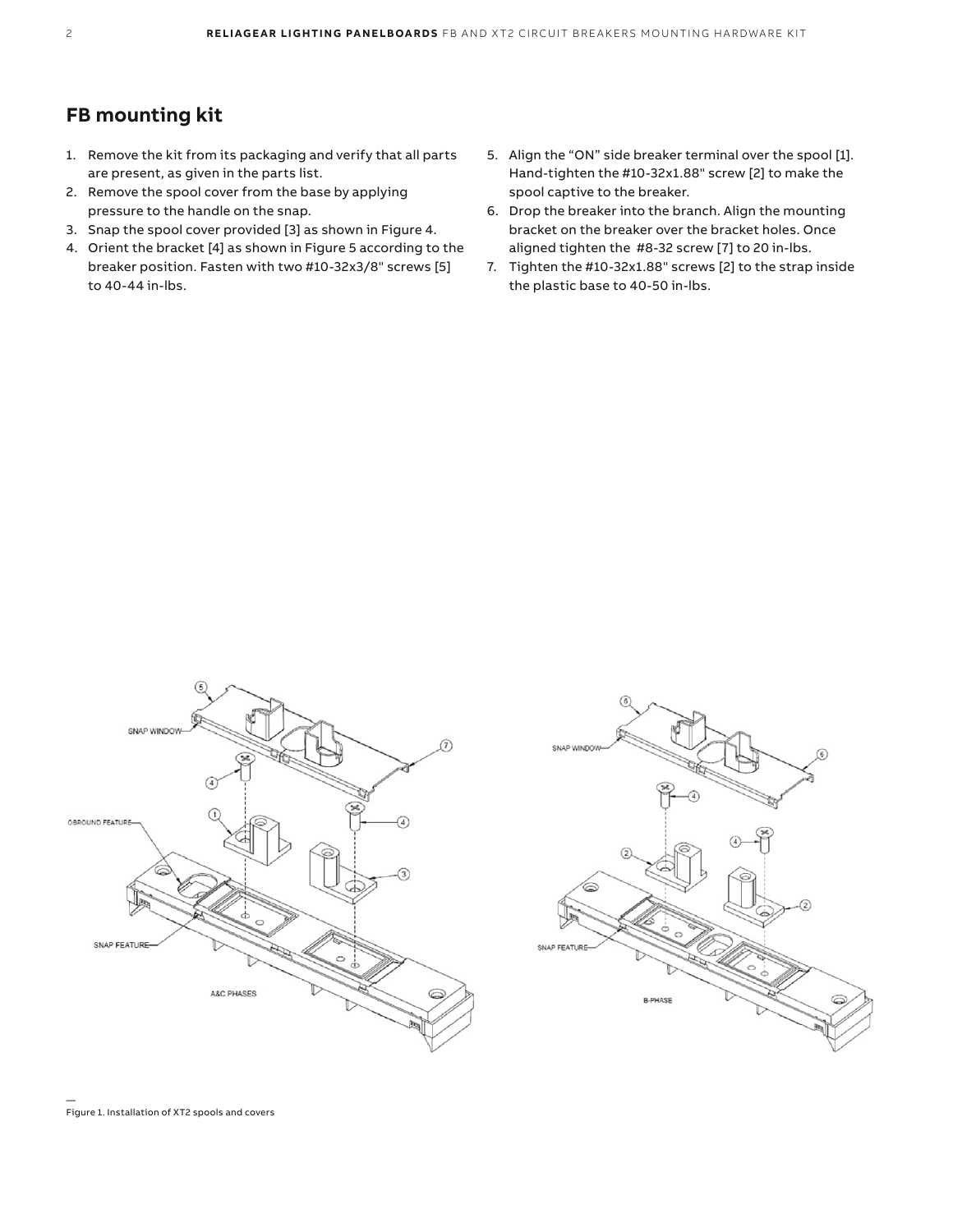### **FB mounting kit**

- 1. Remove the kit from its packaging and verify that all parts are present, as given in the parts list.
- 2. Remove the spool cover from the base by applying pressure to the handle on the snap.
- 3. Snap the spool cover provided [3] as shown in Figure 4.
- 4. Orient the bracket [4] as shown in Figure 5 according to the breaker position. Fasten with two #10-32x3/8" screws [5] to 40-44 in-lbs.
- 5. Align the "ON" side breaker terminal over the spool [1]. Hand-tighten the #10-32x1.88" screw [2] to make the spool captive to the breaker.
- 6. Drop the breaker into the branch. Align the mounting bracket on the breaker over the bracket holes. Once aligned tighten the #8-32 screw [7] to 20 in-lbs.
- 7. Tighten the #10-32x1.88" screws [2] to the strap inside the plastic base to 40-50 in-lbs.





— Figure 1. Installation of XT2 spools and covers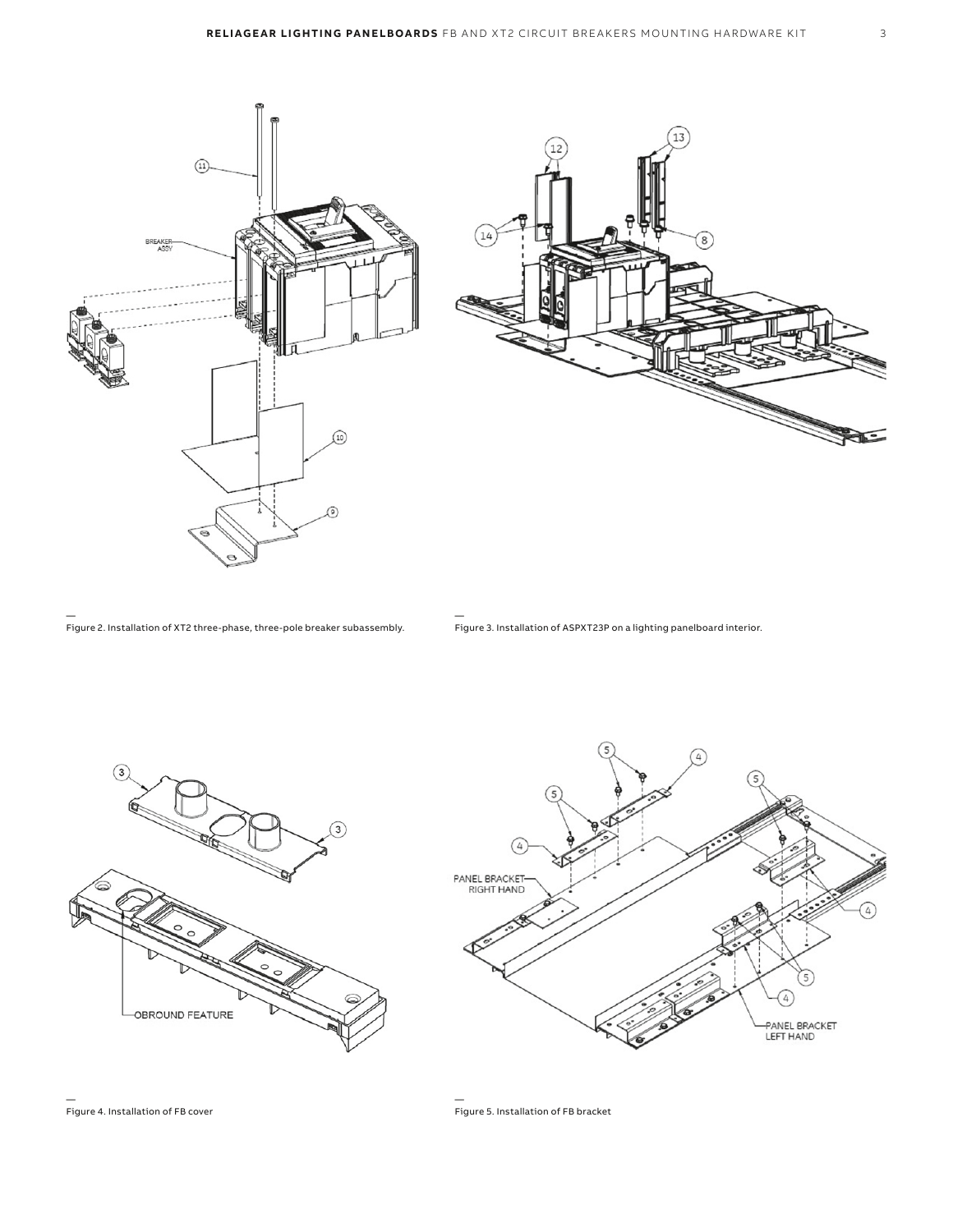

— Figure 2. Installation of XT2 three-phase, three-pole breaker subassembly.

— Figure 3. Installation of ASPXT23P on a lighting panelboard interior.





— Figure 4. Installation of FB cover

— Figure 5. Installation of FB bracket